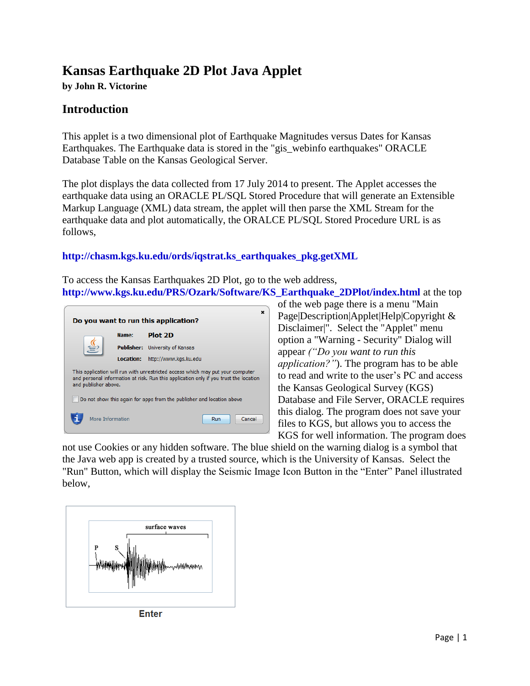## **Kansas Earthquake 2D Plot Java Applet**

**by John R. Victorine**

## **Introduction**

This applet is a two dimensional plot of Earthquake Magnitudes versus Dates for Kansas Earthquakes. The Earthquake data is stored in the "gis\_webinfo earthquakes" ORACLE Database Table on the Kansas Geological Server.

The plot displays the data collected from 17 July 2014 to present. The Applet accesses the earthquake data using an ORACLE PL/SQL Stored Procedure that will generate an Extensible Markup Language (XML) data stream, the applet will then parse the XML Stream for the earthquake data and plot automatically, the ORALCE PL/SQL Stored Procedure URL is as follows,

## **[http://chasm.kgs.ku.edu/ords/iqstrat.ks\\_earthquakes\\_pkg.getXML](http://chasm.kgs.ku.edu/ords/iqstrat.ks_earthquakes_pkg.getXML)**

To access the Kansas Earthquakes 2D Plot, go to the web address, **[http://www.kgs.ku.edu/PRS/Ozark/Software/KS\\_Earthquake\\_2DPlot/index.html](http://www.kgs.ku.edu/PRS/Ozark/Software/KS_Earthquake_2DPlot/index.html)** at the top



of the web page there is a menu "Main Page|Description|Applet|Help|Copyright & Disclaimer|". Select the "Applet" menu option a "Warning - Security" Dialog will appear *("Do you want to run this application?"*). The program has to be able to read and write to the user's PC and access the Kansas Geological Survey (KGS) Database and File Server, ORACLE requires this dialog. The program does not save your files to KGS, but allows you to access the KGS for well information. The program does

not use Cookies or any hidden software. The blue shield on the warning dialog is a symbol that the Java web app is created by a trusted source, which is the University of Kansas. Select the "Run" Button, which will display the Seismic Image Icon Button in the "Enter" Panel illustrated below,



**Enter**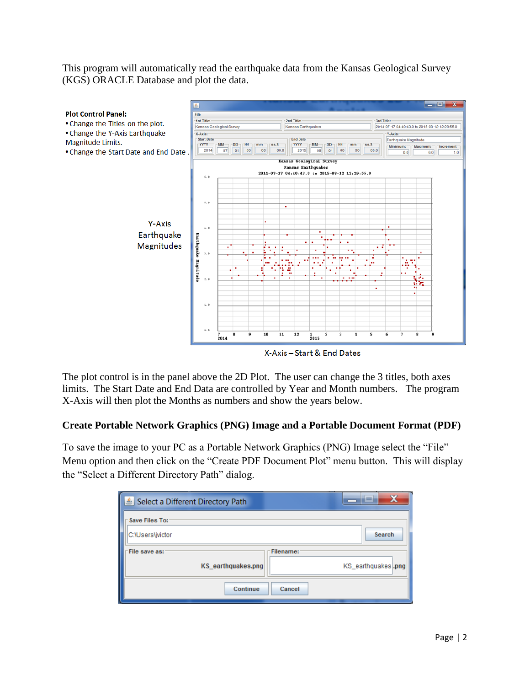This program will automatically read the earthquake data from the Kansas Geological Survey (KGS) ORACLE Database and plot the data.



X-Axis-Start & End Dates

The plot control is in the panel above the 2D Plot. The user can change the 3 titles, both axes limits. The Start Date and End Data are controlled by Year and Month numbers. The program X-Axis will then plot the Months as numbers and show the years below.

## **Create Portable Network Graphics (PNG) Image and a Portable Document Format (PDF)**

To save the image to your PC as a Portable Network Graphics (PNG) Image select the "File" Menu option and then click on the "Create PDF Document Plot" menu button. This will display the "Select a Different Directory Path" dialog.

| Select a Different Directory Path          | X<br>ا کا                        |
|--------------------------------------------|----------------------------------|
| Save Files To:                             |                                  |
| C:\Users\jvictor                           | Search                           |
| File save as:<br><b>KS</b> earthquakes.png | Filename:<br>KS earthquakes, png |
| Continue                                   | Cancel                           |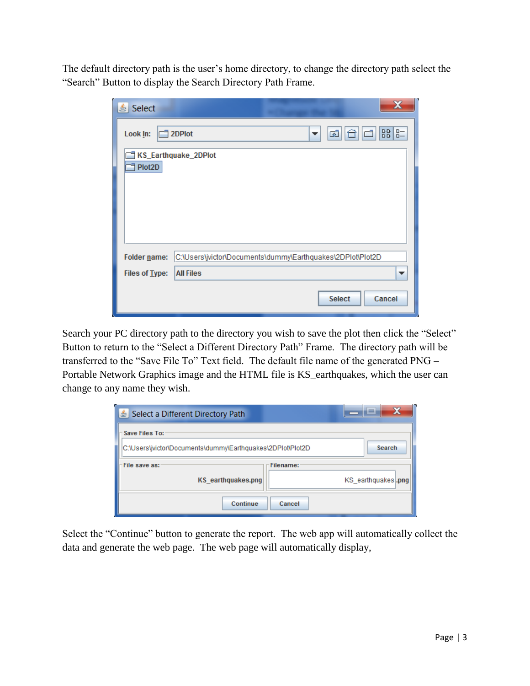The default directory path is the user's home directory, to change the directory path select the "Search" Button to display the Search Directory Path Frame.

| Select<br>호    |                                                                  |  |  |  |  |  |  |
|----------------|------------------------------------------------------------------|--|--|--|--|--|--|
| Look In:       | $B - 8$<br>d<br>ශ්<br>$\Box$ 2DPlot<br>▼<br>KS_Earthquake_2DPlot |  |  |  |  |  |  |
| Plot2D         |                                                                  |  |  |  |  |  |  |
|                |                                                                  |  |  |  |  |  |  |
|                |                                                                  |  |  |  |  |  |  |
| Folder name:   | C:\Users\jvictor\Documents\dummy\Earthquakes\2DPlot\Plot2D       |  |  |  |  |  |  |
| Files of Type: | <b>All Files</b><br>▼                                            |  |  |  |  |  |  |
|                | Cancel<br><b>Select</b>                                          |  |  |  |  |  |  |

Search your PC directory path to the directory you wish to save the plot then click the "Select" Button to return to the "Select a Different Directory Path" Frame. The directory path will be transferred to the "Save File To" Text field. The default file name of the generated PNG – Portable Network Graphics image and the HTML file is KS\_earthquakes, which the user can change to any name they wish.

| Select a Different Directory Path          | x<br>e                                                               |  |  |  |  |  |  |  |
|--------------------------------------------|----------------------------------------------------------------------|--|--|--|--|--|--|--|
| Save Files To:                             | Search<br>C:\Users\jvictor\Documents\dummy\Earthquakes\2DPIot\Plot2D |  |  |  |  |  |  |  |
| File save as:<br><b>KS</b> earthquakes.png | Filename:<br>KS_earthquakes .png                                     |  |  |  |  |  |  |  |
| Continue                                   | Cancel                                                               |  |  |  |  |  |  |  |

Select the "Continue" button to generate the report. The web app will automatically collect the data and generate the web page. The web page will automatically display,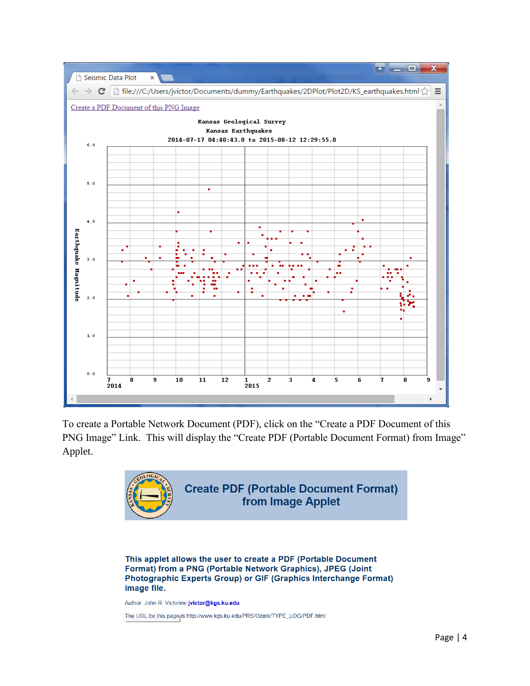

To create a Portable Network Document (PDF), click on the "Create a PDF Document of this PNG Image" Link. This will display the "Create PDF (Portable Document Format) from Image" Applet.



This applet allows the user to create a PDF (Portable Document Format) from a PNG (Portable Network Graphics), JPEG (Joint Photographic Experts Group) or GIF (Graphics Interchange Format) image file.

Author: John R. Victorine jvictor@kgs.ku.edu

The URL for this page is http://www.kgs.ku.edu/PRS/Ozark/TYPE\_LOG/PDF.html